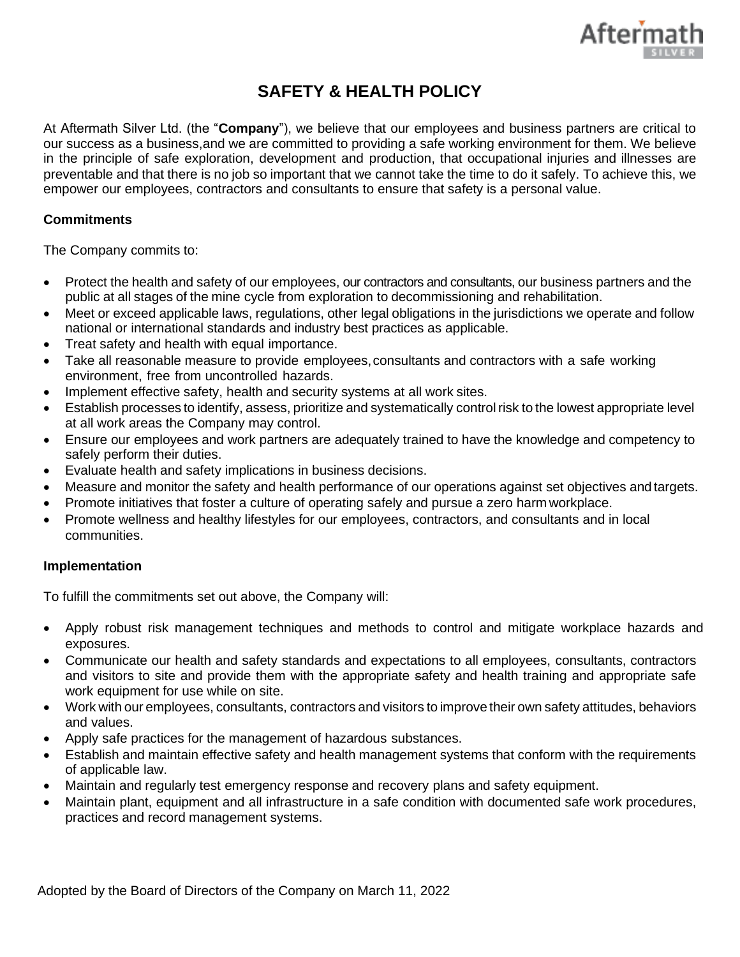

## **SAFETY & HEALTH POLICY**

At Aftermath Silver Ltd. (the "**Company**"), we believe that our employees and business partners are critical to our success as a business,and we are committed to providing a safe working environment for them. We believe in the principle of safe exploration, development and production, that occupational injuries and illnesses are preventable and that there is no job so important that we cannot take the time to do it safely. To achieve this, we empower our employees, contractors and consultants to ensure that safety is a personal value.

## **Commitments**

The Company commits to:

- Protect the health and safety of our employees, our contractors and consultants, our business partners and the public at all stages of the mine cycle from exploration to decommissioning and rehabilitation.
- Meet or exceed applicable laws, regulations, other legal obligations in the jurisdictions we operate and follow national or international standards and industry best practices as applicable.
- Treat safety and health with equal importance.
- Take all reasonable measure to provide employees, consultants and contractors with a safe working environment, free from uncontrolled hazards.
- Implement effective safety, health and security systems at all work sites.
- Establish processes to identify, assess, prioritize and systematically controlrisk to the lowest appropriate level at all work areas the Company may control.
- Ensure our employees and work partners are adequately trained to have the knowledge and competency to safely perform their duties.
- Evaluate health and safety implications in business decisions.
- Measure and monitor the safety and health performance of our operations against set objectives and targets.
- Promote initiatives that foster a culture of operating safely and pursue a zero harm workplace.
- Promote wellness and healthy lifestyles for our employees, contractors, and consultants and in local communities.

## **Implementation**

To fulfill the commitments set out above, the Company will:

- Apply robust risk management techniques and methods to control and mitigate workplace hazards and exposures.
- Communicate our health and safety standards and expectations to all employees, consultants, contractors and visitors to site and provide them with the appropriate safety and health training and appropriate safe work equipment for use while on site.
- Work with our employees, consultants, contractors and visitors to improve their own safety attitudes, behaviors and values.
- Apply safe practices for the management of hazardous substances.
- Establish and maintain effective safety and health management systems that conform with the requirements of applicable law.
- Maintain and regularly test emergency response and recovery plans and safety equipment.
- Maintain plant, equipment and all infrastructure in a safe condition with documented safe work procedures, practices and record management systems.